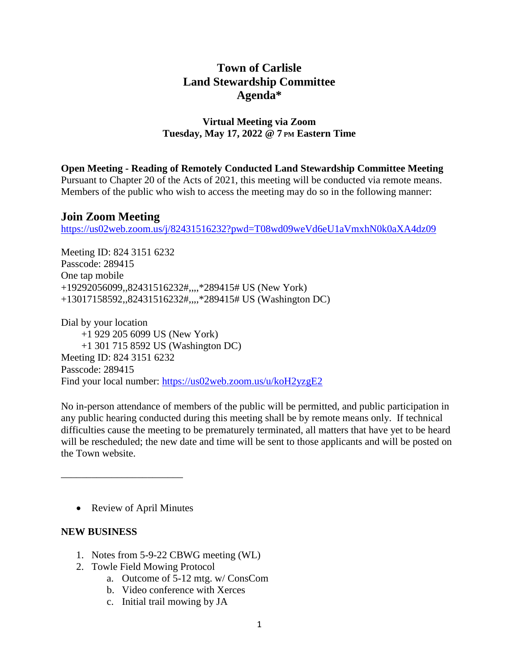# **Town of Carlisle Land Stewardship Committee Agenda\***

## **Virtual Meeting via Zoom Tuesday, May 17, 2022 @ 7 PM Eastern Time**

**Open Meeting - Reading of Remotely Conducted Land Stewardship Committee Meeting** Pursuant to Chapter 20 of the Acts of 2021, this meeting will be conducted via remote means.

Members of the public who wish to access the meeting may do so in the following manner:

## **Join Zoom Meeting**

<https://us02web.zoom.us/j/82431516232?pwd=T08wd09weVd6eU1aVmxhN0k0aXA4dz09>

Meeting ID: 824 3151 6232 Passcode: 289415 One tap mobile +19292056099,,82431516232#,,,,\*289415# US (New York) +13017158592,,82431516232#,,,,\*289415# US (Washington DC)

Dial by your location +1 929 205 6099 US (New York) +1 301 715 8592 US (Washington DC) Meeting ID: 824 3151 6232 Passcode: 289415 Find your local number: <https://us02web.zoom.us/u/koH2yzgE2>

No in-person attendance of members of the public will be permitted, and public participation in any public hearing conducted during this meeting shall be by remote means only. If technical difficulties cause the meeting to be prematurely terminated, all matters that have yet to be heard will be rescheduled; the new date and time will be sent to those applicants and will be posted on the Town website.

• Review of April Minutes

\_\_\_\_\_\_\_\_\_\_\_\_\_\_\_\_\_\_\_\_\_\_\_\_

## **NEW BUSINESS**

- 1. Notes from 5-9-22 CBWG meeting (WL)
- 2. Towle Field Mowing Protocol
	- a. Outcome of 5-12 mtg. w/ ConsCom
	- b. Video conference with Xerces
	- c. Initial trail mowing by JA